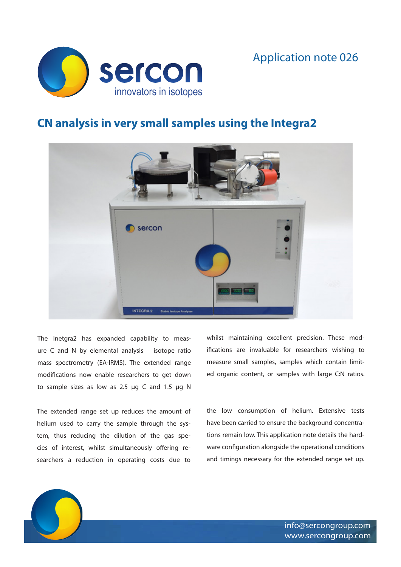Application note 026



## **CN analysis in very small samples using the Integra2**



The Inetgra2 has expanded capability to measure C and N by elemental analysis – isotope ratio mass spectrometry (EA-IRMS). The extended range modifications now enable researchers to get down to sample sizes as low as  $2.5 \mu g$  C and  $1.5 \mu g$  N

ed organic content, or samples with large C:N ratios. the low consumption of helium. Extensive tests

The extended range set up reduces the amount of helium used to carry the sample through the system, thus reducing the dilution of the gas species of interest, whilst simultaneously offering researchers a reduction in operating costs due to

have been carried to ensure the background concentrations remain low. This application note details the hardware configuration alongside the operational conditions and timings necessary for the extended range set up.

whilst maintaining excellent precision. These modifications are invaluable for researchers wishing to measure small samples, samples which contain limit-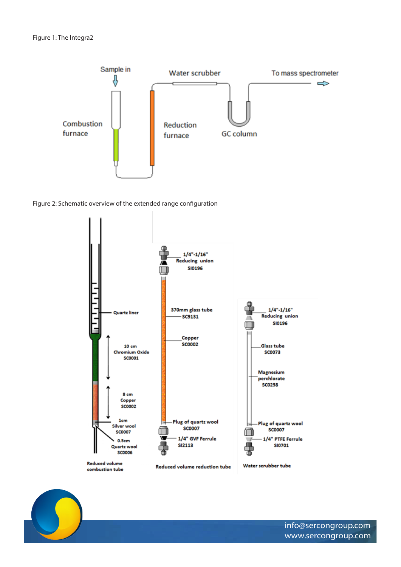

Figure 2: Schematic overview of the extended range configuration





info@sercongroup.com www.sercongroup.com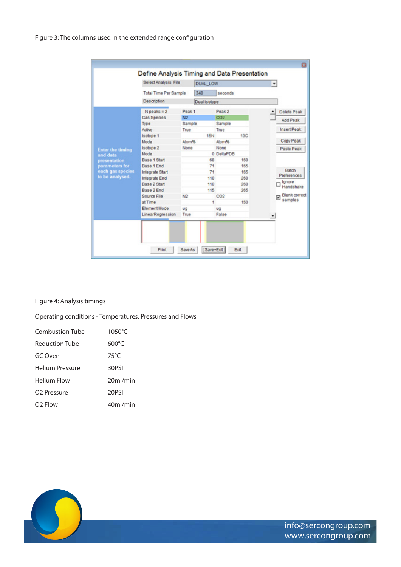|                          | Select Analysis File<br><b>Total Time Per Sample</b><br>Description |                   | <b>DUAL LOW</b> |                   |            | $\left  \cdot \right $   |                               |  |
|--------------------------|---------------------------------------------------------------------|-------------------|-----------------|-------------------|------------|--------------------------|-------------------------------|--|
|                          |                                                                     |                   | 340<br>seconds  |                   |            |                          |                               |  |
|                          |                                                                     |                   | Dual isotope    |                   |            |                          |                               |  |
|                          | $N$ peaks $= 2$                                                     | Peak <sub>1</sub> |                 | Peak <sub>2</sub> |            | ۰                        | <b>Delete Peak</b>            |  |
|                          | <b>Gas Species</b>                                                  | N <sub>2</sub>    |                 | CO2               |            |                          |                               |  |
|                          | Type                                                                | Sample            |                 | Sample            |            |                          | <b>Add Peak</b>               |  |
|                          | Active                                                              | True              |                 | True              |            |                          | <b>Insert Peak</b>            |  |
|                          | <b>Isotope 1</b>                                                    |                   | 15N             |                   | <b>13C</b> |                          |                               |  |
|                          | Mode                                                                | Atom%             |                 | Atom%             |            |                          | Copy Peak                     |  |
| <b>Enter the timing</b>  | <b>Isotope 2</b>                                                    | None              |                 | None              |            |                          | Paste Peak                    |  |
| and data<br>presentation | Mode                                                                |                   | 0 DeltaPDB      |                   |            |                          |                               |  |
|                          | <b>Base 1 Start</b>                                                 | 160<br>68         |                 |                   |            |                          |                               |  |
| parameters for           | <b>Base 1 End</b>                                                   | 71<br>165         |                 |                   |            |                          |                               |  |
| each gas species         | Integrate Start                                                     | 71<br>165         |                 |                   |            | Batch                    |                               |  |
| to be analysed.          | <b>Integrate End</b>                                                |                   | 110<br>260      |                   |            | Preferences              |                               |  |
|                          | Base 2 Start                                                        |                   | 110             |                   | 260        |                          | Ignore<br>Handshake           |  |
|                          | Base 2 End                                                          |                   | 115             |                   | 265        |                          | Blank correct<br>☑<br>samples |  |
|                          | Source File                                                         | N <sub>2</sub>    |                 | CO <sub>2</sub>   |            |                          |                               |  |
|                          | at Time                                                             |                   | ۹               |                   | 150        |                          |                               |  |
|                          | <b>Element Mode</b>                                                 | Uũ                |                 | UO                |            |                          |                               |  |
|                          | LinearRegression                                                    | True              |                 | False             |            | $\overline{\phantom{a}}$ |                               |  |

## Figure 4: Analysis timings

Operating conditions - Temperatures, Pressures and Flows

| $1050^{\circ}$ C     |
|----------------------|
| 600°C                |
| $75^{\circ}$ C       |
| 30PSI                |
| 20ml/min             |
| 20PSI                |
| 40 <sub>m</sub> /min |
|                      |